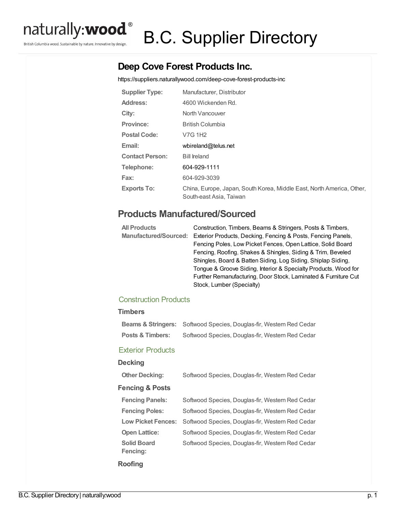

British Columbia wood. Sustainable by nature. Innovative by design.

# B.C. Supplier Directory

## **Deep Cove Forest Products Inc.**

<https://suppliers.naturallywood.com/deep-cove-forest-products-inc>

| <b>Supplier Type:</b>  | Manufacturer, Distributor                                                                        |
|------------------------|--------------------------------------------------------------------------------------------------|
| <b>Address:</b>        | 4600 Wickenden Rd.                                                                               |
| City:                  | North Vancouver                                                                                  |
| <b>Province:</b>       | <b>British Columbia</b>                                                                          |
| Postal Code:           | V7G 1H <sub>2</sub>                                                                              |
| Email:                 | wbireland@telus.net                                                                              |
| <b>Contact Person:</b> | <b>Bill Ireland</b>                                                                              |
| Telephone:             | 604-929-1111                                                                                     |
| Fax:                   | 604-929-3039                                                                                     |
| <b>Exports To:</b>     | China, Europe, Japan, South Korea, Middle East, North America, Other,<br>South-east Asia, Taiwan |

## **Products Manufactured/Sourced**

| <b>All Products</b>          | Construction, Timbers, Beams & Stringers, Posts & Timbers,      |
|------------------------------|-----------------------------------------------------------------|
| <b>Manufactured/Sourced:</b> | Exterior Products, Decking, Fencing & Posts, Fencing Panels,    |
|                              | Fencing Poles, Low Picket Fences, Open Lattice, Solid Board     |
|                              | Fencing, Roofing, Shakes & Shingles, Siding & Trim, Beveled     |
|                              | Shingles, Board & Batten Siding, Log Siding, Shiplap Siding,    |
|                              | Tonque & Groove Siding, Interior & Specialty Products, Wood for |
|                              | Further Remanufacturing, Door Stock, Laminated & Furniture Cut  |
|                              | Stock, Lumber (Specialty)                                       |

### Construction Products

#### **Timbers**

|                  | <b>Beams &amp; Stringers:</b> Softwood Species, Douglas-fir, Western Red Cedar |
|------------------|--------------------------------------------------------------------------------|
| Posts & Timbers: | Softwood Species, Douglas-fir, Western Red Cedar                               |

#### Exterior Products

| <b>Decking</b>                 |                                                  |
|--------------------------------|--------------------------------------------------|
| <b>Other Decking:</b>          | Softwood Species, Douglas-fir, Western Red Cedar |
| <b>Fencing &amp; Posts</b>     |                                                  |
| <b>Fencing Panels:</b>         | Softwood Species, Douglas-fir, Western Red Cedar |
| <b>Fencing Poles:</b>          | Softwood Species, Douglas-fir, Western Red Cedar |
| <b>Low Picket Fences:</b>      | Softwood Species, Douglas-fir, Western Red Cedar |
| <b>Open Lattice:</b>           | Softwood Species, Douglas-fir, Western Red Cedar |
| <b>Solid Board</b><br>Fencing: | Softwood Species, Douglas-fir, Western Red Cedar |
| <b>Roofing</b>                 |                                                  |

B.C. Supplier Directory | naturally:wood p. 1